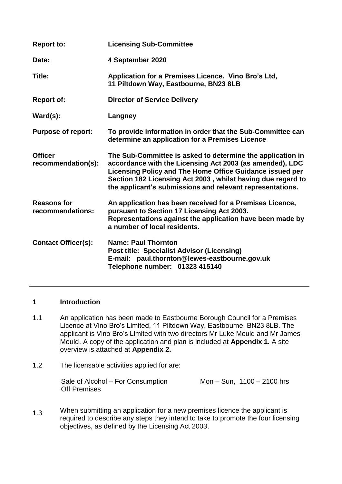| <b>Report to:</b>                      | <b>Licensing Sub-Committee</b>                                                                                                                                                                                                                                                                                 |
|----------------------------------------|----------------------------------------------------------------------------------------------------------------------------------------------------------------------------------------------------------------------------------------------------------------------------------------------------------------|
| Date:                                  | 4 September 2020                                                                                                                                                                                                                                                                                               |
| Title:                                 | Application for a Premises Licence. Vino Bro's Ltd,<br>11 Piltdown Way, Eastbourne, BN23 8LB                                                                                                                                                                                                                   |
| <b>Report of:</b>                      | <b>Director of Service Delivery</b>                                                                                                                                                                                                                                                                            |
| $\text{Ward}(s)$ :                     | <b>Langney</b>                                                                                                                                                                                                                                                                                                 |
| <b>Purpose of report:</b>              | To provide information in order that the Sub-Committee can<br>determine an application for a Premises Licence                                                                                                                                                                                                  |
| <b>Officer</b><br>recommendation(s):   | The Sub-Committee is asked to determine the application in<br>accordance with the Licensing Act 2003 (as amended), LDC<br>Licensing Policy and The Home Office Guidance issued per<br>Section 182 Licensing Act 2003, whilst having due regard to<br>the applicant's submissions and relevant representations. |
| <b>Reasons for</b><br>recommendations: | An application has been received for a Premises Licence,<br>pursuant to Section 17 Licensing Act 2003.<br>Representations against the application have been made by<br>a number of local residents.                                                                                                            |
| <b>Contact Officer(s):</b>             | <b>Name: Paul Thornton</b><br><b>Post title: Specialist Advisor (Licensing)</b><br>E-mail: paul.thornton@lewes-eastbourne.gov.uk<br>Telephone number: 01323 415140                                                                                                                                             |

### **1 Introduction**

- 1.1 An application has been made to Eastbourne Borough Council for a Premises Licence at Vino Bro's Limited, 11 Piltdown Way, Eastbourne, BN23 8LB. The applicant is Vino Bro's Limited with two directors Mr Luke Mould and Mr James Mould. A copy of the application and plan is included at **Appendix 1***.* A site overview is attached at **Appendix 2.**
- 1.2 The licensable activities applied for are:

| Sale of Alcohol – For Consumption | Mon $-$ Sun, 1100 $-$ 2100 hrs |
|-----------------------------------|--------------------------------|
| <b>Off Premises</b>               |                                |

1.3 When submitting an application for a new premises licence the applicant is required to describe any steps they intend to take to promote the four licensing objectives, as defined by the Licensing Act 2003.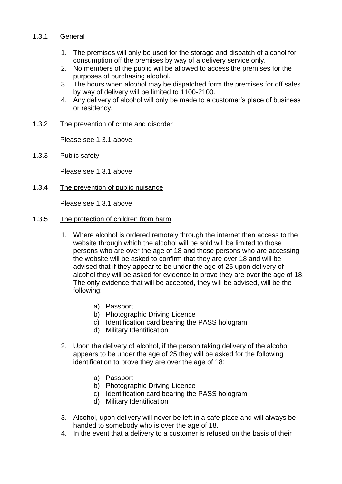#### 1.3.1 **General**

- 1. The premises will only be used for the storage and dispatch of alcohol for consumption off the premises by way of a delivery service only.
- 2. No members of the public will be allowed to access the premises for the purposes of purchasing alcohol.
- 3. The hours when alcohol may be dispatched form the premises for off sales by way of delivery will be limited to 1100-2100.
- 4. Any delivery of alcohol will only be made to a customer's place of business or residency.

#### 1.3.2 The prevention of crime and disorder

Please see 1.3.1 above

1.3.3 Public safety

Please see 1.3.1 above

1.3.4 The prevention of public nuisance

Please see 1.3.1 above

#### 1.3.5 The protection of children from harm

- 1. Where alcohol is ordered remotely through the internet then access to the website through which the alcohol will be sold will be limited to those persons who are over the age of 18 and those persons who are accessing the website will be asked to confirm that they are over 18 and will be advised that if they appear to be under the age of 25 upon delivery of alcohol they will be asked for evidence to prove they are over the age of 18. The only evidence that will be accepted, they will be advised, will be the following:
	- a) Passport
	- b) Photographic Driving Licence
	- c) Identification card bearing the PASS hologram
	- d) Military Identification
- 2. Upon the delivery of alcohol, if the person taking delivery of the alcohol appears to be under the age of 25 they will be asked for the following identification to prove they are over the age of 18:
	- a) Passport
	- b) Photographic Driving Licence
	- c) Identification card bearing the PASS hologram
	- d) Military Identification
- 3. Alcohol, upon delivery will never be left in a safe place and will always be handed to somebody who is over the age of 18.
- 4. In the event that a delivery to a customer is refused on the basis of their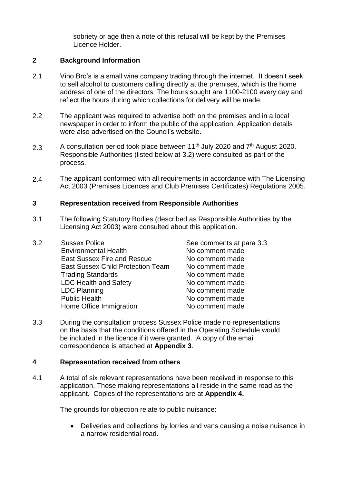sobriety or age then a note of this refusal will be kept by the Premises Licence Holder.

## **2 Background Information**

- 2.1 Vino Bro's is a small wine company trading through the internet. It doesn't seek to sell alcohol to customers calling directly at the premises, which is the home address of one of the directors. The hours sought are 1100-2100 every day and reflect the hours during which collections for delivery will be made.
- 2.2 The applicant was required to advertise both on the premises and in a local newspaper in order to inform the public of the application. Application details were also advertised on the Council's website.
- 2.3 A consultation period took place between 11<sup>th</sup> July 2020 and 7<sup>th</sup> August 2020. Responsible Authorities (listed below at 3.2) were consulted as part of the process.
- 2.4 The applicant conformed with all requirements in accordance with The Licensing Act 2003 (Premises Licences and Club Premises Certificates) Regulations 2005.

### **3 Representation received from Responsible Authorities**

- 3.1 The following Statutory Bodies (described as Responsible Authorities by the Licensing Act 2003) were consulted about this application.
- 3.2 Sussex Police See comments at para 3.3 Environmental Health No comment made East Sussex Fire and Rescue No comment made East Sussex Child Protection Team No comment made Trading Standards No comment made LDC Health and Safety No comment made LDC Planning **No comment made** Public Health No comment made Home Office Immigration No comment made
	-
- 3.3 During the consultation process Sussex Police made no representations on the basis that the conditions offered in the Operating Schedule would be included in the licence if it were granted. A copy of the email correspondence is attached at **Appendix 3**.

### **4 Representation received from others**

4.1 A total of six relevant representations have been received in response to this application. Those making representations all reside in the same road as the applicant. Copies of the representations are at **Appendix 4.**

The grounds for objection relate to public nuisance:

 Deliveries and collections by lorries and vans causing a noise nuisance in a narrow residential road.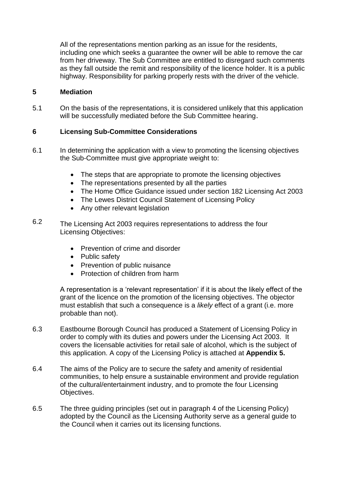All of the representations mention parking as an issue for the residents, including one which seeks a guarantee the owner will be able to remove the car from her driveway. The Sub Committee are entitled to disregard such comments as they fall outside the remit and responsibility of the licence holder. It is a public highway. Responsibility for parking properly rests with the driver of the vehicle.

## **5 Mediation**

5.1 On the basis of the representations, it is considered unlikely that this application will be successfully mediated before the Sub Committee hearing.

# **6 Licensing Sub-Committee Considerations**

- 6.1 In determining the application with a view to promoting the licensing objectives the Sub-Committee must give appropriate weight to:
	- The steps that are appropriate to promote the licensing objectives
	- The representations presented by all the parties
	- The Home Office Guidance issued under section 182 Licensing Act 2003
	- The Lewes District Council Statement of Licensing Policy
	- Any other relevant legislation
- 6.2 The Licensing Act 2003 requires representations to address the four Licensing Objectives:
	- Prevention of crime and disorder
	- Public safety
	- Prevention of public nuisance
	- Protection of children from harm

A representation is a 'relevant representation' if it is about the likely effect of the grant of the licence on the promotion of the licensing objectives. The objector must establish that such a consequence is a *likely* effect of a grant (i.e. more probable than not).

- 6.3 Eastbourne Borough Council has produced a Statement of Licensing Policy in order to comply with its duties and powers under the Licensing Act 2003. It covers the licensable activities for retail sale of alcohol, which is the subject of this application. A copy of the Licensing Policy is attached at **Appendix 5.**
- 6.4 The aims of the Policy are to secure the safety and amenity of residential communities, to help ensure a sustainable environment and provide regulation of the cultural/entertainment industry, and to promote the four Licensing Objectives.
- 6.5 The three guiding principles (set out in paragraph 4 of the Licensing Policy) adopted by the Council as the Licensing Authority serve as a general guide to the Council when it carries out its licensing functions.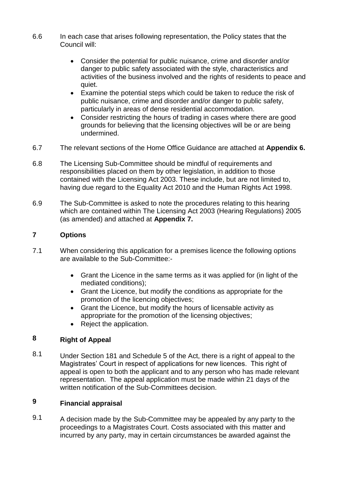- 6.6 In each case that arises following representation, the Policy states that the Council will:
	- Consider the potential for public nuisance, crime and disorder and/or danger to public safety associated with the style, characteristics and activities of the business involved and the rights of residents to peace and quiet.
	- Examine the potential steps which could be taken to reduce the risk of public nuisance, crime and disorder and/or danger to public safety, particularly in areas of dense residential accommodation.
	- Consider restricting the hours of trading in cases where there are good grounds for believing that the licensing objectives will be or are being undermined.
- 6.7 The relevant sections of the Home Office Guidance are attached at **Appendix 6.**
- 6.8 The Licensing Sub-Committee should be mindful of requirements and responsibilities placed on them by other legislation, in addition to those contained with the Licensing Act 2003. These include, but are not limited to, having due regard to the Equality Act 2010 and the Human Rights Act 1998.
- 6.9 The Sub-Committee is asked to note the procedures relating to this hearing which are contained within The Licensing Act 2003 (Hearing Regulations) 2005 (as amended) and attached at **Appendix 7.**

### **7 Options**

- 7.1 When considering this application for a premises licence the following options are available to the Sub-Committee:-
	- Grant the Licence in the same terms as it was applied for (in light of the mediated conditions);
	- Grant the Licence, but modify the conditions as appropriate for the promotion of the licencing objectives;
	- Grant the Licence, but modify the hours of licensable activity as appropriate for the promotion of the licensing objectives;
	- Reject the application.

### **8 Right of Appeal**

8.1 Under Section 181 and Schedule 5 of the Act, there is a right of appeal to the Magistrates' Court in respect of applications for new licences. This right of appeal is open to both the applicant and to any person who has made relevant representation. The appeal application must be made within 21 days of the written notification of the Sub-Committees decision.

### **9 Financial appraisal**

9.1 A decision made by the Sub-Committee may be appealed by any party to the proceedings to a Magistrates Court. Costs associated with this matter and incurred by any party, may in certain circumstances be awarded against the